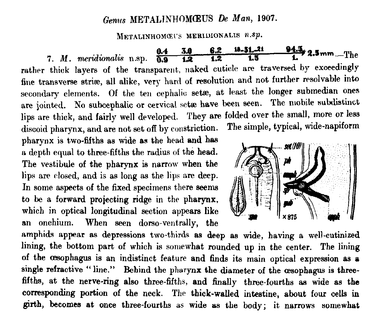## Genus METALINHOMŒUS De Man, 1907.

METALINHOMOEUS MERIDIONALIS  $n$ .sp.

7. M. meridionalis n.sp.  $\frac{0.4}{0.9}$   $\frac{3.0}{1.2}$   $\frac{6.2}{1.2}$   $\frac{10.51}{1.5}$   $\frac{21}{1.5}$   $\frac{94.3}{1}$   $\frac{2.5 \text{ mm}}{1}$  The rather thick layers of the transparent, naked cuticle are traversed by exceedingly fine transverse striae, all alike, very hard of resolution and not further resolvable into secondary elements. Of the ten cephalic setae, at least the longer submedian ones are jointed. No subcephalic or cervical setae have been seen. The mobile subdistinct lips are thick, and fairly well developed. They are folded over the small, more or less discoid pharynx, and are not set off by constriction. The simple, typical, wide-napiform

pharynx is two-fifths as wide as the head and has a depth equal to three-fifths the radius of the head. The vestibule of the pharynx is narrow when the lips are closed, and is as long as the lips are deep. In some aspects of the fixed specimens there seems to be a forward projecting ridge in the pharynx, which in optical longitudinal section appears like an onchium. When seen dorso-ventrally, the



amphids appear as depressions two-thirds as deep as wide, having a well-cutinized lining, the bottom part of which is somewhat rounded up in the center. The lining of the oesophagus is an indistinct feature and finds its main optical expression as a single refractive "line." Behind the pharynx the diameter of the oesophagus is threefifths, at the nerve-ring also three-fifths, and finally three-fourths as wide as the corresponding portion of the neck. The thick-walled intestine, about four cells in girth, becomes at once three-fourths as wide as the body; it narrows somewhat